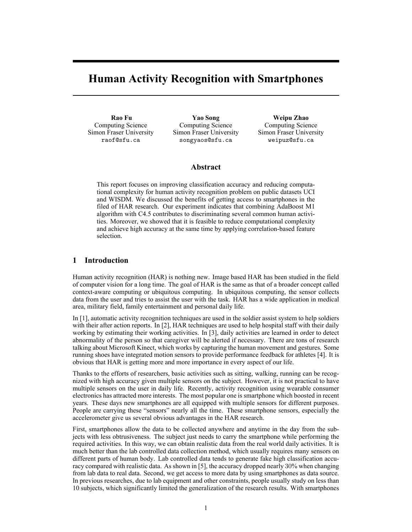# **Human Activity Recognition with Smartphones**

**Rao Fu** Computing Science Simon Fraser University raof@sfu.ca

**Yao Song** Computing Science Simon Fraser University songyaos@sfu.ca

**Weipu Zhao** Computing Science Simon Fraser University weipuz@sfu.ca

## **Abstract**

This report focuses on improving classification accuracy and reducing computational complexity for human activity recognition problem on public datasets UCI and WISDM. We discussed the benefits of getting access to smartphones in the filed of HAR research. Our experiment indicates that combining AdaBoost M1 algorithm with C4.5 contributes to discriminating several common human activities. Moreover, we showed that it is feasible to reduce computational complexity and achieve high accuracy at the same time by applying correlation-based feature selection.

# **1 Introduction**

Human activity recognition (HAR) is nothing new. Image based HAR has been studied in the field of computer vision for a long time. The goal of HAR is the same as that of a broader concept called context-aware computing or ubiquitous computing. In ubiquitous computing, the sensor collects data from the user and tries to assist the user with the task. HAR has a wide application in medical area, military field, family entertainment and personal daily life.

In [1], automatic activity recognition techniques are used in the soldier assist system to help soldiers with their after action reports. In [2], HAR techniques are used to help hospital staff with their daily working by estimating their working activities. In [3], daily activities are learned in order to detect abnormality of the person so that caregiver will be alerted if necessary. There are tons of research talking about Microsoft Kinect, which works by capturing the human movement and gestures. Some running shoes have integrated motion sensors to provide performance feedback for athletes [4]. It is obvious that HAR is getting more and more importance in every aspect of our life.

Thanks to the efforts of researchers, basic activities such as sitting, walking, running can be recognized with high accuracy given multiple sensors on the subject. However, it is not practical to have multiple sensors on the user in daily life. Recently, activity recognition using wearable consumer electronics has attracted more interests. The most popular one is smartphone which boosted in recent years. These days new smartphones are all equipped with multiple sensors for different purposes. People are carrying these "sensors" nearly all the time. These smartphone sensors, especially the accelerometer give us several obvious advantages in the HAR research.

First, smartphones allow the data to be collected anywhere and anytime in the day from the subjects with less obtrusiveness. The subject just needs to carry the smartphone while performing the required activities. In this way, we can obtain realistic data from the real world daily activities. It is much better than the lab controlled data collection method, which usually requires many sensors on different parts of human body. Lab controlled data tends to generate fake high classification accuracy compared with realistic data. As shown in [5], the accuracy dropped nearly 30% when changing from lab data to real data. Second, we get access to more data by using smartphones as data source. In previous researches, due to lab equipment and other constraints, people usually study on less than 10 subjects, which significantly limited the generalization of the research results. With smartphones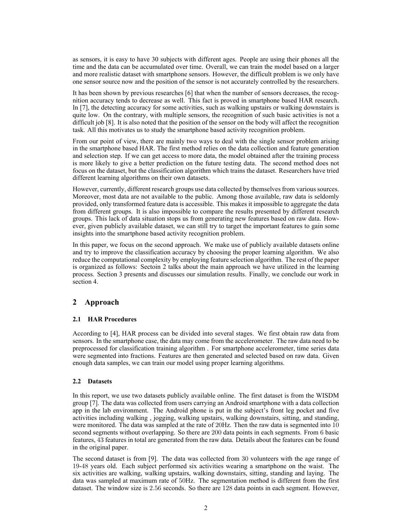as sensors, it is easy to have 30 subjects with different ages. People are using their phones all the time and the data can be accumulated over time. Overall, we can train the model based on a larger and more realistic dataset with smartphone sensors. However, the difficult problem is we only have one sensor source now and the position of the sensor is not accurately controlled by the researchers.

It has been shown by previous researches [6] that when the number of sensors decreases, the recognition accuracy tends to decrease as well. This fact is proved in smartphone based HAR research. In [7], the detecting accuracy for some activities, such as walking upstairs or walking downstairs is quite low. On the contrary, with multiple sensors, the recognition of such basic activities is not a difficult job [8]. It is also noted that the position of the sensor on the body will affect the recognition task. All this motivates us to study the smartphone based activity recognition problem.

From our point of view, there are mainly two ways to deal with the single sensor problem arising in the smartphone based HAR. The first method relies on the data collection and feature generation and selection step. If we can get access to more data, the model obtained after the training process is more likely to give a better prediction on the future testing data. The second method does not focus on the dataset, but the classification algorithm which trains the dataset. Researchers have tried different learning algorithms on their own datasets.

However, currently, different research groups use data collected by themselves from various sources. Moreover, most data are not available to the public. Among those available, raw data is seldomly provided, only transformed feature data is accessible. This makes it impossible to aggregate the data from different groups. It is also impossible to compare the results presented by different research groups. This lack of data situation stops us from generating new features based on raw data. However, given publicly available dataset, we can still try to target the important features to gain some insights into the smartphone based activity recognition problem.

In this paper, we focus on the second approach. We make use of publicly available datasets online and try to improve the classification accuracy by choosing the proper learning algorithm. We also reduce the computational complexity by employing feature selection algorithm. The rest of the paper is organized as follows: Sectoin 2 talks about the main approach we have utilized in the learning process. Section 3 presents and discusses our simulation results. Finally, we conclude our work in section 4.

# **2 Approach**

# **2.1 HAR Procedures**

According to [4], HAR process can be divided into several stages. We first obtain raw data from sensors. In the smartphone case, the data may come from the accelerometer. The raw data need to be preprocessed for classification training algorithm . For smartphone accelerometer, time series data were segmented into fractions. Features are then generated and selected based on raw data. Given enough data samples, we can train our model using proper learning algorithms.

# **2.2 Datasets**

In this report, we use two datasets publicly available online. The first dataset is from the WISDM group [7]. The data was collected from users carrying an Android smartphone with a data collection app in the lab environment. The Android phone is put in the subject's front leg pocket and five activities including walking , jogging, walking upstairs, walking downstairs, sitting, and standing, were monitored. The data was sampled at the rate of 20Hz. Then the raw data is segmented into 10 second segments without overlapping. So there are 200 data points in each segments. From 6 basic features, 43 features in total are generated from the raw data. Details about the features can be found in the original paper.

The second dataset is from [9]. The data was collected from 30 volunteers with the age range of 19-48 years old. Each subject performed six activities wearing a smartphone on the waist. The six activities are walking, walking upstairs, walking downstairs, sitting, standing and laying. The data was sampled at maximum rate of 50Hz. The segmentation method is different from the first dataset. The window size is 2*.*56 seconds. So there are 128 data points in each segment. However,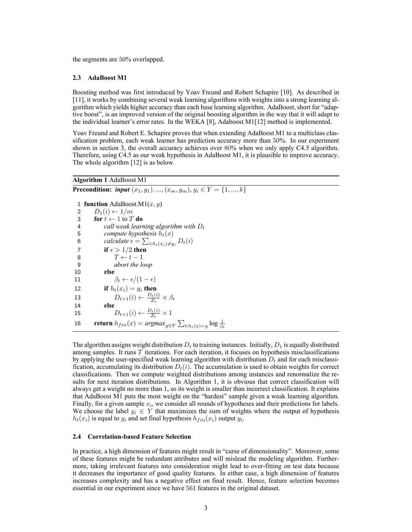the segments are 50% overlapped.

#### **2.3 AdaBoost M1**

Boosting method was first introduced by Yoav Freund and Robert Schapire [10]. As described in [11], it works by combining several weak learning algorithms with weights into a strong learning algorithm which yields higher accuracy than each base learning algorithm. AdaBoost, short for "adaptive boost", is an improved version of the original boosting algorithm in the way that it will adapt to the individual learner's error rates. In the WEKA [8], Adaboost M1[12] method is implemented.

Yoav Freund and Robert E. Schapire proves that when extending AdaBoost M1 to a multiclass classification problem, each weak learner has prediction accuracy more than 50%. In our experiment shown in section 3, the overall accuracy achieves over 80% when we only apply C4.5 algorithm. Therefore, using C4.5 as our weak hypothesis in AdaBoost M1, it is plausible to improve accuracy. The whole algorithm [12] is as below.

# **Algorithm 1** AdaBoost M1

**Precondition:** *input*  $(x_1, y_1), ..., (x_m, y_m), y_i \in Y = \{1, ..., k\}$ 

 **function** AdaBoost.M1(*x, y*)  $D_1(i) \leftarrow 1/m$ **for**  $t \leftarrow 1$  to  $T$  **do**  *call weak learning algorithm with D<sup>t</sup> compute hypothesis*  $h_t(x)$ <br>6 *calculate*  $\epsilon = \sum_{i \in h} f(x_i) \neq u$ *calculate*  $\epsilon = \sum_{i:h_t(x_i) \neq y_i} D_t(i)$ **if**  $\epsilon > 1/2$  **then**  *T ← t −* 1 *abort the loop* 10 **else**  $\beta_t \leftarrow \frac{\epsilon}{1 - \epsilon}$ **if**  $h_t(x_i) = y_i$  **then**  $D_{t+1}(i) \leftarrow \frac{D_t(i)}{Z_t} \times \beta_t$ 14 **else**  $D_{t+1}(i) \leftarrow \frac{D_t(i)}{Z_t} \times 1$ **return**  $h_{fin}(x) = argmax_{y \in Y} \sum_{t:h_t(x) = y} \log \frac{1}{\beta_t}$ 

The algorithm assigns weight distribution  $D_t$  to training instances. Initially,  $D_1$  is equally distributed among samples. It runs *T* iterations. For each iteration, it focuses on hypothesis misclassifications by applying the user-specified weak learning algorithm with distribution *D<sup>t</sup>* and for each misclassification, accumulating its distribution  $D_t(i)$ . The accumulation is used to obtain weights for correct classifications. Then we compute weighted distributions among instances and renormalize the results for next iteration distributions. In Algorithm 1, it is obvious that correct classification will always get a weight no more than 1, so its weight is smaller than incorrect classification. It explains that AdaBoost M1 puts the most weight on the "hardest" sample given a weak learning algorithm. Finally, for a given sample *x<sup>i</sup>* , we consider all rounds of hypotheses and their predictions for labels. We choose the label  $y_i \in Y$  that maximizes the sum of weights where the output of hypothesis  $h_t(x_i)$  is equal to  $y_i$  and set final hypothesis  $h_{fin}(x_i)$  output  $y_i$ .

#### **2.4 Correlation-based Feature Selection**

In practice, a high dimension of features might result in "curse of dimensionality". Moreover, some of these features might be redundant attributes and will mislead the modeling algorithm. Furthermore, taking irrelevant features into consideration might lead to over-fitting on test data because it decreases the importance of good quality features. In either case, a high dimension of features increases complexity and has a negative effect on final result. Hence, feature selection becomes essential in our experiment since we have 561 features in the original dataset.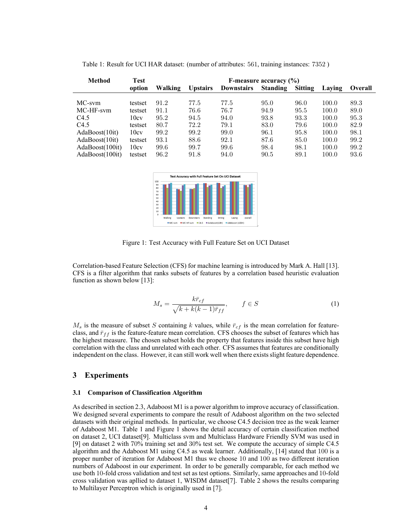| <b>Method</b>    | <b>Test</b> | F-measure accuracy $(\% )$ |      |                   |                 |                |        |                |  |  |
|------------------|-------------|----------------------------|------|-------------------|-----------------|----------------|--------|----------------|--|--|
|                  | option      | Walking<br><b>Upstairs</b> |      | <b>Downstairs</b> | <b>Standing</b> | <b>Sitting</b> | Laving | <b>Overall</b> |  |  |
|                  |             |                            |      |                   |                 |                |        |                |  |  |
| MC-sym           | testset     | 91.2                       | 77.5 | 77.5              | 95.0            | 96.0           | 100.0  | 89.3           |  |  |
| MC-HF-sym        | testset     | 91.1                       | 76.6 | 76.7              | 94.9            | 95.5           | 100.0  | 89.0           |  |  |
| C <sub>4.5</sub> | 10cv        | 95.2                       | 94.5 | 94.0              | 93.8            | 93.3           | 100.0  | 95.3           |  |  |
| C4.5             | testset     | 80.7                       | 72.2 | 79.1              | 83.0            | 79.6           | 100.0  | 82.9           |  |  |
| AdaBoost(10it)   | 10cv        | 99.2                       | 99.2 | 99.0              | 96.1            | 95.8           | 100.0  | 98.1           |  |  |
| AdaBoost(10it)   | testset     | 93.1                       | 88.6 | 92.1              | 87.6            | 85.0           | 100.0  | 99.2           |  |  |
| AdaBoost(100it)  | 10cv        | 99.6                       | 99.7 | 99.6              | 98.4            | 98.1           | 100.0  | 99.2           |  |  |
| AdaBoost(100it)  | testset     | 96.2                       | 91.8 | 94.0              | 90.5            | 89.1           | 100.0  | 93.6           |  |  |

Table 1: Result for UCI HAR dataset: (number of attributes: 561, training instances: 7352 )



Figure 1: Test Accuracy with Full Feature Set on UCI Dataset

Correlation-based Feature Selection (CFS) for machine learning is introduced by Mark A. Hall [13]. CFS is a filter algorithm that ranks subsets of features by a correlation based heuristic evaluation function as shown below [13]:

$$
M_s = \frac{k\bar{r}_{cf}}{\sqrt{k + k(k-1)\bar{r}_{ff}}}, \qquad f \in S
$$
 (1)

 $M_s$  is the measure of subset *S* containing *k* values, while  $\bar{r}_{cf}$  is the mean correlation for featureclass, and  $\bar{r}_{ff}$  is the feature-feature mean correlation. CFS chooses the subset of features which has the highest measure. The chosen subset holds the property that features inside this subset have high correlation with the class and unrelated with each other. CFS assumes that features are conditionally independent on the class. However, it can still work well when there exists slight feature dependence.

### **3 Experiments**

#### **3.1 Comparison of Classification Algorithm**

As described in section 2.3, Adaboost M1 is a power algorithm to improve accuracy of classification. We designed several experiments to compare the result of Adaboost algorithm on the two selected datasets with their original methods. In particular, we choose C4.5 decision tree as the weak learner of Adaboost M1. Table 1 and Figure 1 shows the detail accuracy of certain classification method on dataset 2, UCI dataset[9]. Multiclass svm and Multiclass Hardware Friendly SVM was used in [9] on dataset 2 with 70% training set and 30% test set. We compute the accuracy of simple C4.5 algorithm and the Adaboost M1 using C4.5 as weak learner. Additionally, [14] stated that 100 is a proper number of iteration for Adaboost M1 thus we choose 10 and 100 as two different iteration numbers of Adaboost in our experiment. In order to be generally comparable, for each method we use both 10-fold cross validation and test set as test options. Similarly, same approaches and 10-fold cross validation was apllied to dataset 1, WISDM dataset[7]. Table 2 shows the results comparing to Multilayer Perceptron which is originally used in [7].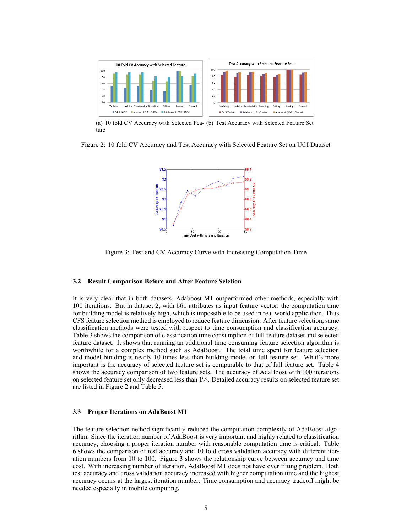

(a) 10 fold CV Accuracy with Selected Fea-(b) Test Accuracy with Selected Feature Set ture

Figure 2: 10 fold CV Accuracy and Test Accuracy with Selected Feature Set on UCI Dataset



Figure 3: Test and CV Accuracy Curve with Increasing Computation Time

#### **3.2 Result Comparison Before and After Feature Seletion**

It is very clear that in both datasets, Adaboost M1 outperformed other methods, especially with 100 iterations. But in dataset 2, with 561 attributes as input feature vector, the computation time for building model is relatively high, which is impossible to be used in real world application. Thus CFS feature selection method is employed to reduce feature dimension. After feature selection, same classification methods were tested with respect to time consumption and classification accuracy. Table 3 shows the comparison of classification time consumption of full feature dataset and selected feature dataset. It shows that running an additional time consuming feature selection algorithm is worthwhile for a complex method such as AdaBoost. The total time spent for feature selection and model building is nearly 10 times less than building model on full feature set. What's more important is the accuracy of selected feature set is comparable to that of full feature set. Table 4 shows the accuracy comparison of two feature sets. The accuracy of AdaBoost with 100 iterations on selected feature set only decreased less than 1%. Detailed accuracy results on selected feature set are listed in Figure 2 and Table 5.

#### **3.3 Proper Iterations on AdaBoost M1**

The feature selection nethod significantly reduced the computation complexity of AdaBoost algorithm. Since the iteration number of AdaBoost is very important and highly related to classification accuracy, choosing a proper iteration number with reasonable computation time is critical. Table 6 shows the comparison of test accuracy and 10 fold cross validation accuracy with different iteration numbers from 10 to 100. Figure 3 shows the relationship curve between accuracy and time cost. With increasing number of iteration, AdaBoost M1 does not have over fitting problem. Both test accuracy and cross validation accuracy increased with higher computation time and the highest accuracy occurs at the largest iteration number. Time consumption and accuracy tradeoff might be needed especially in mobile computing.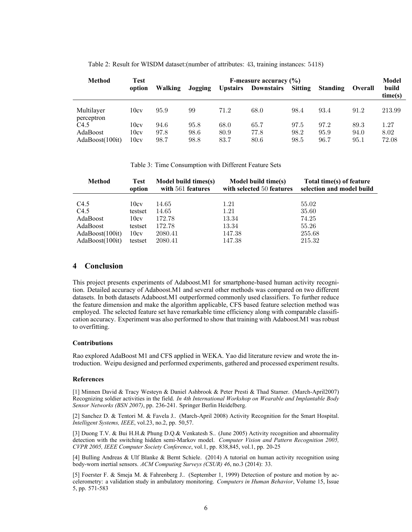| Table 2: Result for WISDM dataset: (number of attributes: 43, training instances: 5418) |  |
|-----------------------------------------------------------------------------------------|--|
|                                                                                         |  |

| <b>Method</b>            | Test<br>option | Walking | Jogging | <b>Upstairs</b> | F-measure accuracy $(\% )$<br><b>Downstairs</b> | <b>Sitting</b> | <b>Standing</b> | <b>Overall</b> | Model<br>build<br>time(s) |
|--------------------------|----------------|---------|---------|-----------------|-------------------------------------------------|----------------|-----------------|----------------|---------------------------|
| Multilayer<br>perceptron | 10cv           | 95.9    | 99      | 71.2            | 68.0                                            | 98.4           | 93.4            | 91.2           | 213.99                    |
| C <sub>4.5</sub>         | 10cv           | 94.6    | 95.8    | 68.0            | 65.7                                            | 97.5           | 97.2            | 89.3           | 1.27                      |
| AdaBoost                 | 10cv           | 97.8    | 98.6    | 80.9            | 77.8                                            | 98.2           | 95.9            | 94.0           | 8.02                      |
| AdaBoost(100it)          | 10cy           | 98.7    | 98.8    | 83.7            | 80.6                                            | 98.5           | 96.7            | 95.1           | 72.08                     |

Table 3: Time Consumption with Different Feature Sets

| <b>Method</b>    | <b>Test</b><br>option | Model build times(s)<br>with 561 features | Model build time(s)<br>with selected 50 features | Total time(s) of feature<br>selection and model build |
|------------------|-----------------------|-------------------------------------------|--------------------------------------------------|-------------------------------------------------------|
| C <sub>4.5</sub> | 10cv                  | 14.65                                     | 1.21                                             | 55.02                                                 |
| C4.5             | testset               | 14.65                                     | 1.21                                             | 35.60                                                 |
| AdaBoost         | 10cv                  | 172.78                                    | 13.34                                            | 74.25                                                 |
| AdaBoost         | testset               | 172.78                                    | 13.34                                            | 55.26                                                 |
| AdaBoost(100it)  | 10cv                  | 2080.41                                   | 147.38                                           | 255.68                                                |
| AdaBoost(100it)  | testset               | 2080.41                                   | 147.38                                           | 215.32                                                |

# **4 Conclusion**

This project presents experiments of Adaboost.M1 for smartphone-based human activity recognition. Detailed accuracy of Adaboost.M1 and several other methods was compared on two different datasets. In both datasets Adaboost.M1 outperformed commonly used classifiers. To further reduce the feature dimension and make the algorithm applicable, CFS based feature selection method was employed. The selected feature set have remarkable time efficiency along with comparable classification accuracy. Experiment was also performed to show that training with Adaboost.M1 was robust to overfitting.

#### **Contributions**

Rao explored AdaBoost M1 and CFS applied in WEKA. Yao did literature review and wrote the introduction. Weipu designed and performed experiments, gathered and processed experiment results.

#### **References**

[1] Minnen David & Tracy Westeyn & Daniel Ashbrook & Peter Presti & Thad Starner. (March-April2007) Recognizing soldier activities in the field. *In 4th International Workshop on Wearable and Implantable Body Sensor Networks (BSN 2007)*, pp. 236-241. Springer Berlin Heidelberg.

[2] Sanchez D. & Tentori M. & Favela J.. (March-April 2008) Activity Recognition for the Smart Hospital. *Intelligent Systems, IEEE*, vol.23, no.2, pp. 50,57.

[3] Duong T.V. & Bui H.H.& Phung D.Q.& Venkatesh S.. (June 2005) Activity recognition and abnormality detection with the switching hidden semi-Markov model. *Computer Vision and Pattern Recognition 2005, CVPR 2005, IEEE Computer Society Conference*, vol.1, pp. 838,845, vol.1, pp. 20-25

[4] Bulling Andreas & Ulf Blanke & Bernt Schiele. (2014) A tutorial on human activity recognition using body-worn inertial sensors. *ACM Computing Surveys (CSUR) 46*, no.3 (2014): 33.

[5] Foerster F. & Smeja M. & Fahrenberg J.. (September 1, 1999) Detection of posture and motion by accelerometry: a validation study in ambulatory monitoring. *Computers in Human Behavior*, Volume 15, Issue 5, pp. 571-583